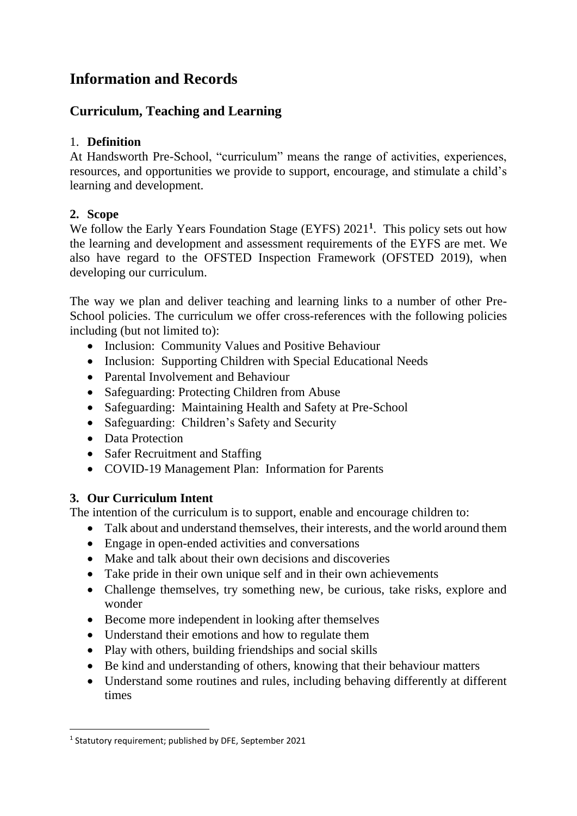# **Information and Records**

# **Curriculum, Teaching and Learning**

## 1. **Definition**

At Handsworth Pre-School, "curriculum" means the range of activities, experiences, resources, and opportunities we provide to support, encourage, and stimulate a child's learning and development.

## **2. Scope**

We follow the Early Years Foundation Stage (EYFS) 2021**<sup>1</sup>** . This policy sets out how the learning and development and assessment requirements of the EYFS are met. We also have regard to the OFSTED Inspection Framework (OFSTED 2019), when developing our curriculum.

The way we plan and deliver teaching and learning links to a number of other Pre-School policies. The curriculum we offer cross-references with the following policies including (but not limited to):

- Inclusion: Community Values and Positive Behaviour
- Inclusion: Supporting Children with Special Educational Needs
- Parental Involvement and Behaviour
- Safeguarding: Protecting Children from Abuse
- Safeguarding: Maintaining Health and Safety at Pre-School
- Safeguarding: Children's Safety and Security
- Data Protection
- Safer Recruitment and Staffing
- COVID-19 Management Plan: Information for Parents

# **3. Our Curriculum Intent**

The intention of the curriculum is to support, enable and encourage children to:

- Talk about and understand themselves, their interests, and the world around them
- Engage in open-ended activities and conversations
- Make and talk about their own decisions and discoveries
- Take pride in their own unique self and in their own achievements
- Challenge themselves, try something new, be curious, take risks, explore and wonder
- Become more independent in looking after themselves
- Understand their emotions and how to regulate them
- Play with others, building friendships and social skills
- Be kind and understanding of others, knowing that their behaviour matters
- Understand some routines and rules, including behaving differently at different times

<sup>1</sup> Statutory requirement; published by DFE, September 2021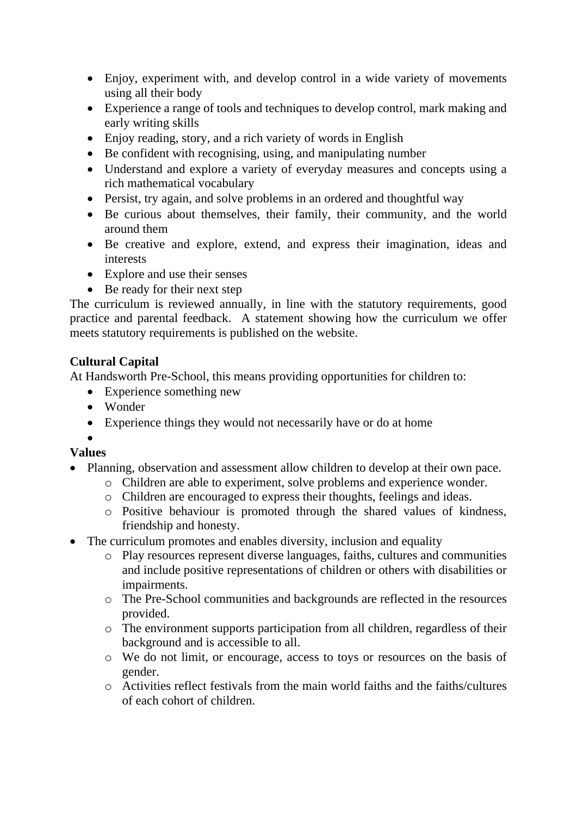- Enjoy, experiment with, and develop control in a wide variety of movements using all their body
- Experience a range of tools and techniques to develop control, mark making and early writing skills
- Enjoy reading, story, and a rich variety of words in English
- Be confident with recognising, using, and manipulating number
- Understand and explore a variety of everyday measures and concepts using a rich mathematical vocabulary
- Persist, try again, and solve problems in an ordered and thoughtful way
- Be curious about themselves, their family, their community, and the world around them
- Be creative and explore, extend, and express their imagination, ideas and interests
- Explore and use their senses
- Be ready for their next step

The curriculum is reviewed annually, in line with the statutory requirements, good practice and parental feedback. A statement showing how the curriculum we offer meets statutory requirements is published on the website.

## **Cultural Capital**

At Handsworth Pre-School, this means providing opportunities for children to:

- Experience something new
- Wonder
- Experience things they would not necessarily have or do at home

#### •

## **Values**

- Planning, observation and assessment allow children to develop at their own pace.
	- o Children are able to experiment, solve problems and experience wonder.
	- o Children are encouraged to express their thoughts, feelings and ideas.
	- o Positive behaviour is promoted through the shared values of kindness, friendship and honesty.
- The curriculum promotes and enables diversity, inclusion and equality
	- o Play resources represent diverse languages, faiths, cultures and communities and include positive representations of children or others with disabilities or impairments.
	- o The Pre-School communities and backgrounds are reflected in the resources provided.
	- o The environment supports participation from all children, regardless of their background and is accessible to all.
	- o We do not limit, or encourage, access to toys or resources on the basis of gender.
	- o Activities reflect festivals from the main world faiths and the faiths/cultures of each cohort of children.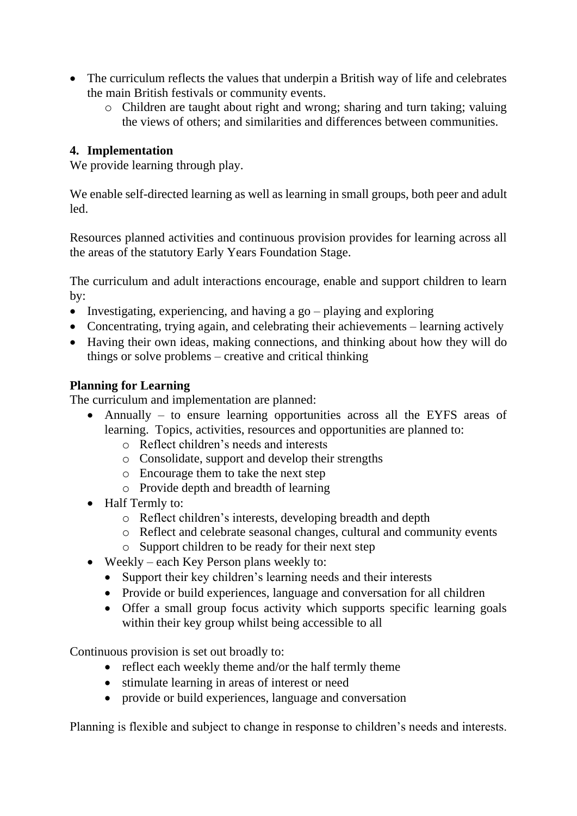- The curriculum reflects the values that underpin a British way of life and celebrates the main British festivals or community events.
	- o Children are taught about right and wrong; sharing and turn taking; valuing the views of others; and similarities and differences between communities.

## **4. Implementation**

We provide learning through play.

We enable self-directed learning as well as learning in small groups, both peer and adult led.

Resources planned activities and continuous provision provides for learning across all the areas of the statutory Early Years Foundation Stage.

The curriculum and adult interactions encourage, enable and support children to learn by:

- Investigating, experiencing, and having a go playing and exploring
- Concentrating, trying again, and celebrating their achievements learning actively
- Having their own ideas, making connections, and thinking about how they will do things or solve problems – creative and critical thinking

## **Planning for Learning**

The curriculum and implementation are planned:

- Annually to ensure learning opportunities across all the EYFS areas of learning. Topics, activities, resources and opportunities are planned to:
	- o Reflect children's needs and interests
	- o Consolidate, support and develop their strengths
	- o Encourage them to take the next step
	- o Provide depth and breadth of learning
- Half Termly to:
	- o Reflect children's interests, developing breadth and depth
	- o Reflect and celebrate seasonal changes, cultural and community events
	- o Support children to be ready for their next step
- Weekly each Key Person plans weekly to:
	- Support their key children's learning needs and their interests
	- Provide or build experiences, language and conversation for all children
	- Offer a small group focus activity which supports specific learning goals within their key group whilst being accessible to all

Continuous provision is set out broadly to:

- reflect each weekly theme and/or the half termly theme
- stimulate learning in areas of interest or need
- provide or build experiences, language and conversation

Planning is flexible and subject to change in response to children's needs and interests.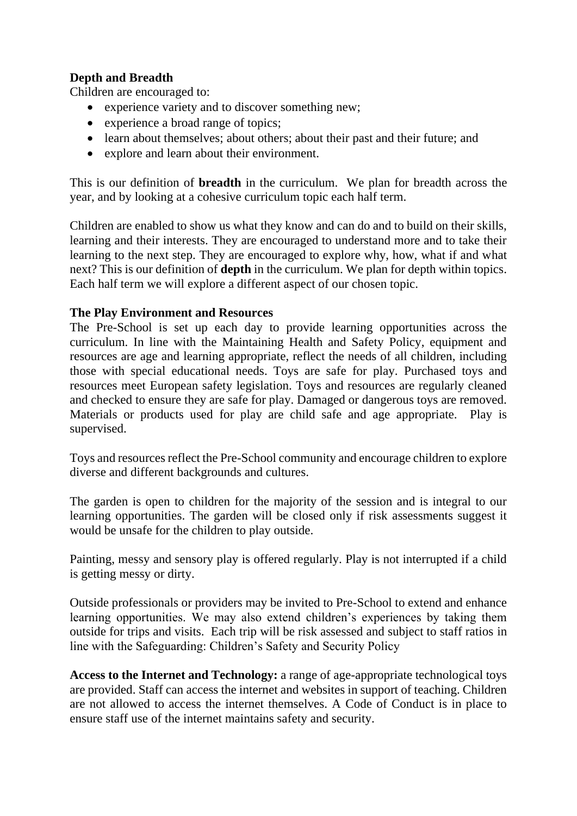## **Depth and Breadth**

Children are encouraged to:

- experience variety and to discover something new;
- experience a broad range of topics:
- learn about themselves; about others; about their past and their future; and
- explore and learn about their environment.

This is our definition of **breadth** in the curriculum. We plan for breadth across the year, and by looking at a cohesive curriculum topic each half term.

Children are enabled to show us what they know and can do and to build on their skills, learning and their interests. They are encouraged to understand more and to take their learning to the next step. They are encouraged to explore why, how, what if and what next? This is our definition of **depth** in the curriculum. We plan for depth within topics. Each half term we will explore a different aspect of our chosen topic.

#### **The Play Environment and Resources**

The Pre-School is set up each day to provide learning opportunities across the curriculum. In line with the Maintaining Health and Safety Policy, equipment and resources are age and learning appropriate, reflect the needs of all children, including those with special educational needs. Toys are safe for play. Purchased toys and resources meet European safety legislation. Toys and resources are regularly cleaned and checked to ensure they are safe for play. Damaged or dangerous toys are removed. Materials or products used for play are child safe and age appropriate. Play is supervised.

Toys and resources reflect the Pre-School community and encourage children to explore diverse and different backgrounds and cultures.

The garden is open to children for the majority of the session and is integral to our learning opportunities. The garden will be closed only if risk assessments suggest it would be unsafe for the children to play outside.

Painting, messy and sensory play is offered regularly. Play is not interrupted if a child is getting messy or dirty.

Outside professionals or providers may be invited to Pre-School to extend and enhance learning opportunities. We may also extend children's experiences by taking them outside for trips and visits. Each trip will be risk assessed and subject to staff ratios in line with the Safeguarding: Children's Safety and Security Policy

**Access to the Internet and Technology:** a range of age-appropriate technological toys are provided. Staff can access the internet and websites in support of teaching. Children are not allowed to access the internet themselves. A Code of Conduct is in place to ensure staff use of the internet maintains safety and security.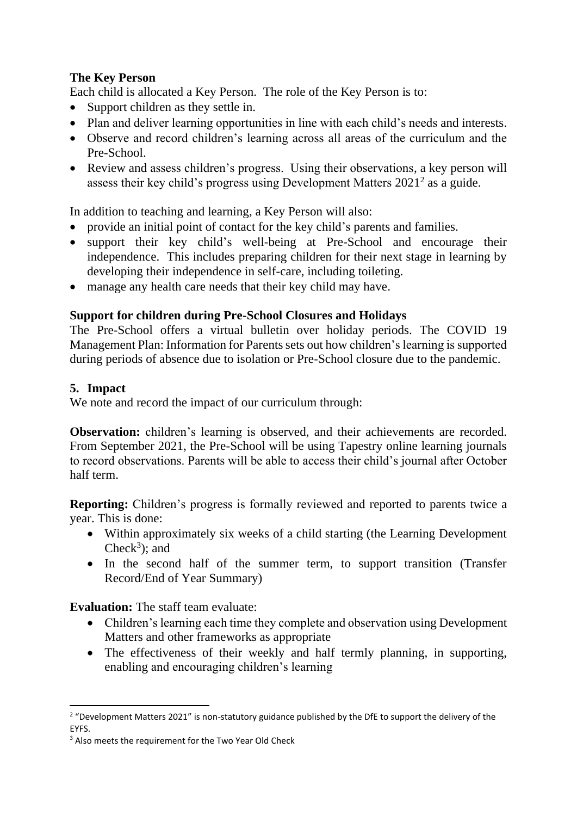## **The Key Person**

Each child is allocated a Key Person. The role of the Key Person is to:

- Support children as they settle in.
- Plan and deliver learning opportunities in line with each child's needs and interests.
- Observe and record children's learning across all areas of the curriculum and the Pre-School.
- Review and assess children's progress. Using their observations, a key person will assess their key child's progress using Development Matters  $2021^2$  as a guide.

In addition to teaching and learning, a Key Person will also:

- provide an initial point of contact for the key child's parents and families.
- support their key child's well-being at Pre-School and encourage their independence. This includes preparing children for their next stage in learning by developing their independence in self-care, including toileting.
- manage any health care needs that their key child may have.

#### **Support for children during Pre-School Closures and Holidays**

The Pre-School offers a virtual bulletin over holiday periods. The COVID 19 Management Plan: Information for Parents sets out how children's learning is supported during periods of absence due to isolation or Pre-School closure due to the pandemic.

#### **5. Impact**

We note and record the impact of our curriculum through:

**Observation:** children's learning is observed, and their achievements are recorded. From September 2021, the Pre-School will be using Tapestry online learning journals to record observations. Parents will be able to access their child's journal after October half term.

**Reporting:** Children's progress is formally reviewed and reported to parents twice a year. This is done:

- Within approximately six weeks of a child starting (the Learning Development Check<sup>3</sup>); and
- In the second half of the summer term, to support transition (Transfer Record/End of Year Summary)

**Evaluation:** The staff team evaluate:

- Children's learning each time they complete and observation using Development Matters and other frameworks as appropriate
- The effectiveness of their weekly and half termly planning, in supporting, enabling and encouraging children's learning

<sup>&</sup>lt;sup>2</sup> "Development Matters 2021" is non-statutory guidance published by the DfE to support the delivery of the EYFS.

<sup>&</sup>lt;sup>3</sup> Also meets the requirement for the Two Year Old Check